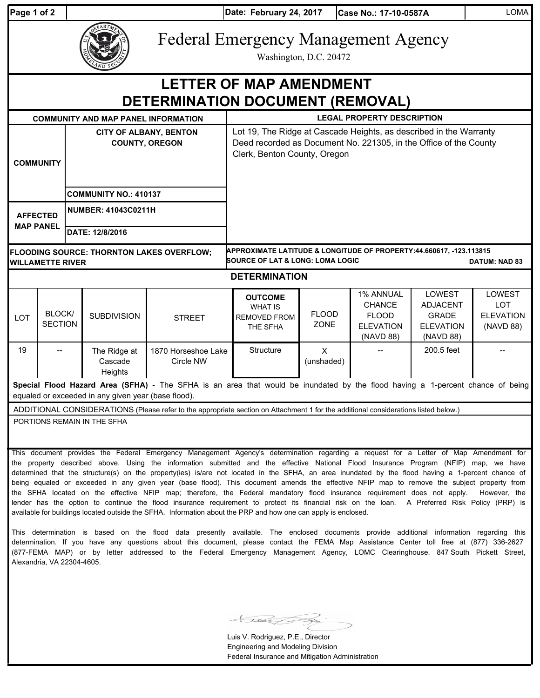| Page 1 of 2 |  |  |
|-------------|--|--|
|             |  |  |

| EPARTME        |
|----------------|
| <b>AND SEC</b> |

Federal Emergency Management Agency

Washington, D.C. 20472

| WD SP                                                                                                                                                                                                                                                                                                                                                                                                                             |                          |                                                        |                                    |                                                                                                                                                                         |                                                                     |                             |                                                                             |                                                                            |                                                       |  |
|-----------------------------------------------------------------------------------------------------------------------------------------------------------------------------------------------------------------------------------------------------------------------------------------------------------------------------------------------------------------------------------------------------------------------------------|--------------------------|--------------------------------------------------------|------------------------------------|-------------------------------------------------------------------------------------------------------------------------------------------------------------------------|---------------------------------------------------------------------|-----------------------------|-----------------------------------------------------------------------------|----------------------------------------------------------------------------|-------------------------------------------------------|--|
| LETTER OF MAP AMENDMENT<br><b>DETERMINATION DOCUMENT (REMOVAL)</b>                                                                                                                                                                                                                                                                                                                                                                |                          |                                                        |                                    |                                                                                                                                                                         |                                                                     |                             |                                                                             |                                                                            |                                                       |  |
| <b>COMMUNITY AND MAP PANEL INFORMATION</b>                                                                                                                                                                                                                                                                                                                                                                                        |                          |                                                        |                                    | <b>LEGAL PROPERTY DESCRIPTION</b>                                                                                                                                       |                                                                     |                             |                                                                             |                                                                            |                                                       |  |
| <b>COMMUNITY</b>                                                                                                                                                                                                                                                                                                                                                                                                                  |                          | <b>CITY OF ALBANY, BENTON</b><br><b>COUNTY, OREGON</b> |                                    | Lot 19, The Ridge at Cascade Heights, as described in the Warranty<br>Deed recorded as Document No. 221305, in the Office of the County<br>Clerk, Benton County, Oregon |                                                                     |                             |                                                                             |                                                                            |                                                       |  |
|                                                                                                                                                                                                                                                                                                                                                                                                                                   |                          | <b>COMMUNITY NO.: 410137</b>                           |                                    |                                                                                                                                                                         |                                                                     |                             |                                                                             |                                                                            |                                                       |  |
| <b>AFFECTED</b><br><b>MAP PANEL</b>                                                                                                                                                                                                                                                                                                                                                                                               |                          |                                                        | <b>NUMBER: 41043C0211H</b>         |                                                                                                                                                                         |                                                                     |                             |                                                                             |                                                                            |                                                       |  |
|                                                                                                                                                                                                                                                                                                                                                                                                                                   |                          |                                                        | DATE: 12/8/2016                    |                                                                                                                                                                         |                                                                     |                             |                                                                             |                                                                            |                                                       |  |
| APPROXIMATE LATITUDE & LONGITUDE OF PROPERTY:44.660617, -123.113815<br>FLOODING SOURCE: THORNTON LAKES OVERFLOW;<br><b>SOURCE OF LAT &amp; LONG: LOMA LOGIC</b><br><b>DATUM: NAD 83</b><br><b>WILLAMETTE RIVER</b>                                                                                                                                                                                                                |                          |                                                        |                                    |                                                                                                                                                                         |                                                                     |                             |                                                                             |                                                                            |                                                       |  |
| <b>DETERMINATION</b>                                                                                                                                                                                                                                                                                                                                                                                                              |                          |                                                        |                                    |                                                                                                                                                                         |                                                                     |                             |                                                                             |                                                                            |                                                       |  |
| <b>LOT</b>                                                                                                                                                                                                                                                                                                                                                                                                                        | BLOCK/<br><b>SECTION</b> |                                                        | <b>SUBDIVISION</b>                 | <b>STREET</b>                                                                                                                                                           | <b>OUTCOME</b><br><b>WHAT IS</b><br><b>REMOVED FROM</b><br>THE SFHA | <b>FLOOD</b><br><b>ZONE</b> | 1% ANNUAL<br><b>CHANCE</b><br><b>FLOOD</b><br><b>ELEVATION</b><br>(NAVD 88) | LOWEST<br><b>ADJACENT</b><br><b>GRADE</b><br><b>ELEVATION</b><br>(NAVD 88) | LOWEST<br><b>LOT</b><br><b>ELEVATION</b><br>(NAVD 88) |  |
| 19                                                                                                                                                                                                                                                                                                                                                                                                                                |                          |                                                        | The Ridge at<br>Cascade<br>Heights | 1870 Horseshoe Lake<br>Circle NW                                                                                                                                        | Structure                                                           | X<br>(unshaded)             |                                                                             | 200.5 feet                                                                 |                                                       |  |
| Special Flood Hazard Area (SFHA) - The SFHA is an area that would be inundated by the flood having a 1-percent chance of being<br>equaled or exceeded in any given year (base flood).                                                                                                                                                                                                                                             |                          |                                                        |                                    |                                                                                                                                                                         |                                                                     |                             |                                                                             |                                                                            |                                                       |  |
| ADDITIONAL CONSIDERATIONS (Please refer to the appropriate section on Attachment 1 for the additional considerations listed below.)                                                                                                                                                                                                                                                                                               |                          |                                                        |                                    |                                                                                                                                                                         |                                                                     |                             |                                                                             |                                                                            |                                                       |  |
| PORTIONS REMAIN IN THE SFHA                                                                                                                                                                                                                                                                                                                                                                                                       |                          |                                                        |                                    |                                                                                                                                                                         |                                                                     |                             |                                                                             |                                                                            |                                                       |  |
| This document provides the Federal Emergency Management Agency's determination regarding a request for a Letter of Map Amendment for<br>the property described above. Using the information submitted and the effective National Flood Insurance Program (NFIP) map, we have<br>determined that the structure(s) on the property(ies) is/are not located in the SFHA, an area inundated by the flood having a 1-percent chance of |                          |                                                        |                                    |                                                                                                                                                                         |                                                                     |                             |                                                                             |                                                                            |                                                       |  |

determined that the structure(s) on the property(ies) is/are not located in the SFHA, an area inundated by the flood having a 1-percent chance of being equaled or exceeded in any given year (base flood). This document amends the effective NFIP map to remove the subject property from the SFHA located on the effective NFIP map; therefore, the Federal mandatory flood insurance requirement does not apply. However, the lender has the option to continue the flood insurance requirement to protect its financial risk on the loan. A Preferred Risk Policy (PRP) is available for buildings located outside the SFHA. Information about the PRP and how one can apply is enclosed.

This determination is based on the flood data presently available. The enclosed documents provide additional information regarding this determination. If you have any questions about this document, please contact the FEMA Map Assistance Center toll free at (877) 336-2627 (877-FEMA MAP) or by letter addressed to the Federal Emergency Management Agency, LOMC Clearinghouse, 847 South Pickett Street, Alexandria, VA 22304-4605.

Luis V. Rodriguez, P.E., Director Engineering and Modeling Division Federal Insurance and Mitigation Administration